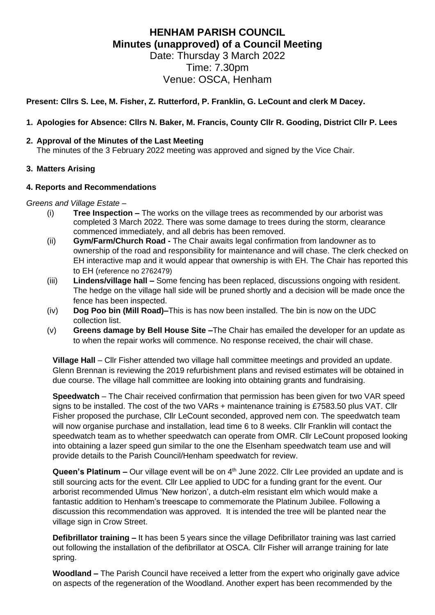# **HENHAM PARISH COUNCIL Minutes (unapproved) of a Council Meeting**

Date: Thursday 3 March 2022 Time: 7.30pm Venue: OSCA, Henham

# **Present: Cllrs S. Lee, M. Fisher, Z. Rutterford, P. Franklin, G. LeCount and clerk M Dacey.**

# **1. Apologies for Absence: Cllrs N. Baker, M. Francis, County Cllr R. Gooding, District Cllr P. Lees**

### **2. Approval of the Minutes of the Last Meeting**

The minutes of the 3 February 2022 meeting was approved and signed by the Vice Chair.

## **3. Matters Arising**

## **4. Reports and Recommendations**

*Greens and Village Estate –*

- (i) **Tree Inspection –** The works on the village trees as recommended by our arborist was completed 3 March 2022. There was some damage to trees during the storm, clearance commenced immediately, and all debris has been removed.
- (ii) **Gym/Farm/Church Road -** The Chair awaits legal confirmation from landowner as to ownership of the road and responsibility for maintenance and will chase. The clerk checked on EH interactive map and it would appear that ownership is with EH. The Chair has reported this to EH (reference no 2762479)
- (iii) **Lindens/village hall –** Some fencing has been replaced, discussions ongoing with resident. The hedge on the village hall side will be pruned shortly and a decision will be made once the fence has been inspected.
- (iv) **Dog Poo bin (Mill Road)–**This is has now been installed. The bin is now on the UDC collection list.
- (v) **Greens damage by Bell House Site –**The Chair has emailed the developer for an update as to when the repair works will commence. No response received, the chair will chase.

**Village Hall** – Cllr Fisher attended two village hall committee meetings and provided an update. Glenn Brennan is reviewing the 2019 refurbishment plans and revised estimates will be obtained in due course. The village hall committee are looking into obtaining grants and fundraising.

**Speedwatch** – The Chair received confirmation that permission has been given for two VAR speed signs to be installed. The cost of the two VARs + maintenance training is £7583.50 plus VAT. Cllr Fisher proposed the purchase, Cllr LeCount seconded, approved nem con. The speedwatch team will now organise purchase and installation, lead time 6 to 8 weeks. Cllr Franklin will contact the speedwatch team as to whether speedwatch can operate from OMR. Cllr LeCount proposed looking into obtaining a lazer speed gun similar to the one the Elsenham speedwatch team use and will provide details to the Parish Council/Henham speedwatch for review.

Queen's Platinum - Our village event will be on 4<sup>th</sup> June 2022. Cllr Lee provided an update and is still sourcing acts for the event. Cllr Lee applied to UDC for a funding grant for the event. Our arborist recommended Ulmus 'New horizon', a dutch-elm resistant elm which would make a fantastic addition to Henham's treescape to commemorate the Platinum Jubilee. Following a discussion this recommendation was approved. It is intended the tree will be planted near the village sign in Crow Street.

**Defibrillator training –** It has been 5 years since the village Defibrillator training was last carried out following the installation of the defibrillator at OSCA. Cllr Fisher will arrange training for late spring.

**Woodland –** The Parish Council have received a letter from the expert who originally gave advice on aspects of the regeneration of the Woodland. Another expert has been recommended by the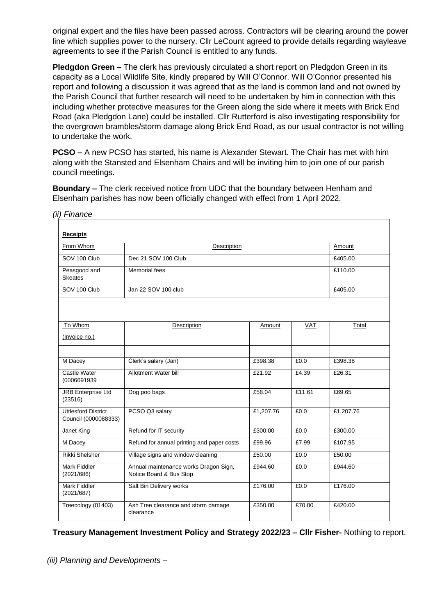original expert and the files have been passed across. Contractors will be clearing around the power line which supplies power to the nursery. Cllr LeCount agreed to provide details regarding wayleave agreements to see if the Parish Council is entitled to any funds.

**Pledgdon Green –** The clerk has previously circulated a short report on Pledgdon Green in its capacity as a Local Wildlife Site, kindly prepared by Will O'Connor. Will O'Connor presented his report and following a discussion it was agreed that as the land is common land and not owned by the Parish Council that further research will need to be undertaken by him in connection with this including whether protective measures for the Green along the side where it meets with Brick End Road (aka Pledgdon Lane) could be installed. Cllr Rutterford is also investigating responsibility for the overgrown brambles/storm damage along Brick End Road, as our usual contractor is not willing to undertake the work.

**PCSO –** A new PCSO has started, his name is Alexander Stewart. The Chair has met with him along with the Stansted and Elsenham Chairs and will be inviting him to join one of our parish council meetings.

**Boundary –** The clerk received notice from UDC that the boundary between Henham and Elsenham parishes has now been officially changed with effect from 1 April 2022.

| <b>Receipts</b>                                    |                                                                  |           |            |           |
|----------------------------------------------------|------------------------------------------------------------------|-----------|------------|-----------|
| From Whom                                          | Description                                                      |           |            | Amount    |
| SOV 100 Club                                       | Dec 21 SOV 100 Club                                              |           |            | £405.00   |
| Peasgood and<br><b>Skeates</b>                     | <b>Memorial fees</b>                                             |           |            | £110.00   |
| SOV 100 Club                                       | Jan 22 SOV 100 club                                              |           |            | £405.00   |
|                                                    |                                                                  |           |            |           |
| To Whom                                            | Description                                                      | Amount    | <b>VAT</b> | Total     |
| (Invoice no.)                                      |                                                                  |           |            |           |
|                                                    |                                                                  |           |            |           |
| M Dacey                                            | Clerk's salary (Jan)                                             | £398.38   | £0.0       | £398.38   |
| Castle Water<br>(0006691939                        | Allotment Water bill                                             | £21.92    | £4.39      | £26.31    |
| <b>JRB Enterprise Ltd</b><br>(23516)               | Dog poo bags                                                     | £58.04    | £11.61     | £69.65    |
| <b>Uttlesford District</b><br>Council (0000088333) | PCSO Q3 salary                                                   | £1,207.76 | £0.0       | £1,207.76 |
| Janet King                                         | Refund for IT security                                           | £300.00   | £0.0       | £300.00   |
| M Dacey                                            | Refund for annual printing and paper costs                       | £99.96    | £7.99      | £107.95   |
| <b>Rikki Shelsher</b>                              | Village signs and window cleaning                                | £50.00    | £0.0       | £50.00    |
| Mark Fiddler<br>(2021/686)                         | Annual maintenance works Dragon Sign,<br>Notice Board & Bus Stop | £944.60   | £0.0       | £944.60   |
| Mark Fiddler<br>(2021/687)                         | Salt Bin Delivery works                                          | £176.00   | £0.0       | £176.00   |
| Treecology (01403)                                 | Ash Tree clearance and storm damage<br>clearance                 | £350.00   | £70.00     | £420.00   |

*(ii) Finance*

# **Treasury Management Investment Policy and Strategy 2022/23 – Cllr Fisher-** Nothing to report.

*(iii) Planning and Developments –*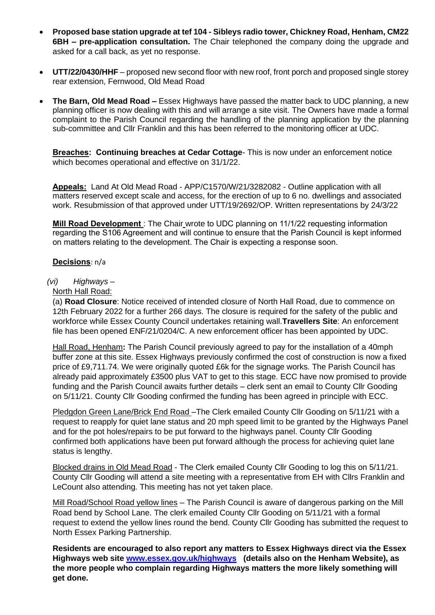- **Proposed base station upgrade at tef 104 - Sibleys radio tower, Chickney Road, Henham, CM22 6BH – pre-application consultation.** The Chair telephoned the company doing the upgrade and asked for a call back, as yet no response.
- **UTT/22/0430/HHF** proposed new second floor with new roof, front porch and proposed single storey rear extension, Fernwood, Old Mead Road
- **The Barn, Old Mead Road –** Essex Highways have passed the matter back to UDC planning, a new planning officer is now dealing with this and will arrange a site visit. The Owners have made a formal complaint to the Parish Council regarding the handling of the planning application by the planning sub-committee and Cllr Franklin and this has been referred to the monitoring officer at UDC.

**Breaches: Continuing breaches at Cedar Cottage**- This is now under an enforcement notice which becomes operational and effective on 31/1/22.

**Appeals:** Land At Old Mead Road - APP/C1570/W/21/3282082 - Outline application with all matters reserved except scale and access, for the erection of up to 6 no. dwellings and associated work. Resubmission of that approved under UTT/19/2692/OP. Written representations by 24/3/22

**Mill Road Development**: The Chair wrote to UDC planning on 11/1/22 requesting information regarding the S106 Agreement and will continue to ensure that the Parish Council is kept informed on matters relating to the development. The Chair is expecting a response soon.

#### **Decisions**: n/a

#### *(vi) Highways –*

#### North Hall Road:

(a) **Road Closure**: Notice received of intended closure of North Hall Road, due to commence on 12th February 2022 for a further 266 days. The closure is required for the safety of the public and workforce while Essex County Council undertakes retaining wall.**Travellers Site**: An enforcement file has been opened ENF/21/0204/C. A new enforcement officer has been appointed by UDC.

Hall Road, Henham**:** The Parish Council previously agreed to pay for the installation of a 40mph buffer zone at this site. Essex Highways previously confirmed the cost of construction is now a fixed price of £9,711.74. We were originally quoted £6k for the signage works. The Parish Council has already paid approximately £3500 plus VAT to get to this stage. ECC have now promised to provide funding and the Parish Council awaits further details – clerk sent an email to County Cllr Gooding on 5/11/21. County Cllr Gooding confirmed the funding has been agreed in principle with ECC.

Pledgdon Green Lane/Brick End Road –The Clerk emailed County Cllr Gooding on 5/11/21 with a request to reapply for quiet lane status and 20 mph speed limit to be granted by the Highways Panel and for the pot holes/repairs to be put forward to the highways panel. County Cllr Gooding confirmed both applications have been put forward although the process for achieving quiet lane status is lengthy.

Blocked drains in Old Mead Road - The Clerk emailed County Cllr Gooding to log this on 5/11/21. County Cllr Gooding will attend a site meeting with a representative from EH with Cllrs Franklin and LeCount also attending. This meeting has not yet taken place.

Mill Road/School Road yellow lines – The Parish Council is aware of dangerous parking on the Mill Road bend by School Lane. The clerk emailed County Cllr Gooding on 5/11/21 with a formal request to extend the yellow lines round the bend. County Cllr Gooding has submitted the request to North Essex Parking Partnership.

**Residents are encouraged to also report any matters to Essex Highways direct via the Essex Highways web site [www.essex.gov.uk/highways](http://www.essex.gov.uk/highways) (details also on the Henham Website), as the more people who complain regarding Highways matters the more likely something will get done.**